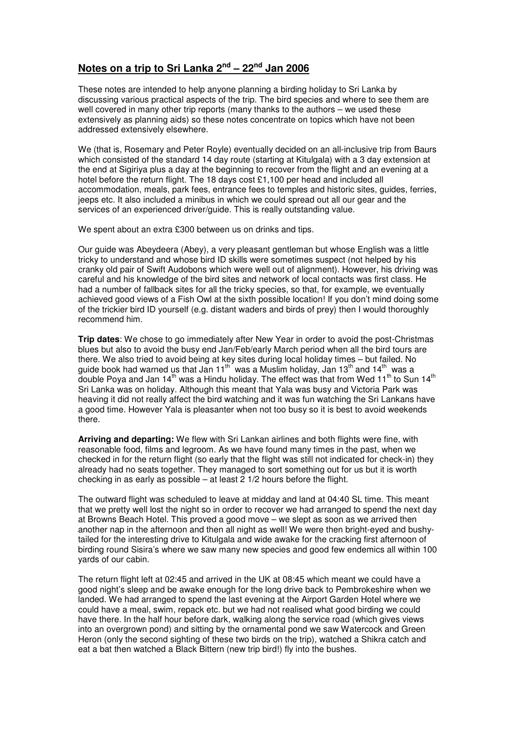## **Notes on a trip to Sri Lanka 2nd – 22nd Jan 2006**

These notes are intended to help anyone planning a birding holiday to Sri Lanka by discussing various practical aspects of the trip. The bird species and where to see them are well covered in many other trip reports (many thanks to the authors – we used these extensively as planning aids) so these notes concentrate on topics which have not been addressed extensively elsewhere.

We (that is, Rosemary and Peter Royle) eventually decided on an all-inclusive trip from Baurs which consisted of the standard 14 day route (starting at Kitulgala) with a 3 day extension at the end at Sigiriya plus a day at the beginning to recover from the flight and an evening at a hotel before the return flight. The 18 days cost £1,100 per head and included all accommodation, meals, park fees, entrance fees to temples and historic sites, guides, ferries, jeeps etc. It also included a minibus in which we could spread out all our gear and the services of an experienced driver/guide. This is really outstanding value.

We spent about an extra £300 between us on drinks and tips.

Our guide was Abeydeera (Abey), a very pleasant gentleman but whose English was a little tricky to understand and whose bird ID skills were sometimes suspect (not helped by his cranky old pair of Swift Audobons which were well out of alignment). However, his driving was careful and his knowledge of the bird sites and network of local contacts was first class. He had a number of fallback sites for all the tricky species, so that, for example, we eventually achieved good views of a Fish Owl at the sixth possible location! If you don't mind doing some of the trickier bird ID yourself (e.g. distant waders and birds of prey) then I would thoroughly recommend him.

**Trip dates**: We chose to go immediately after New Year in order to avoid the post-Christmas blues but also to avoid the busy end Jan/Feb/early March period when all the bird tours are there. We also tried to avoid being at key sites during local holiday times – but failed. No guide book had warned us that Jan 11<sup>th</sup> was a Muslim holiday, Jan 13<sup>th</sup> and 14<sup>th</sup> was a double Poya and Jan 14<sup>th</sup> was a Hindu holiday. The effect was that from Wed 11<sup>th</sup> to Sun 14<sup>th</sup> Sri Lanka was on holiday. Although this meant that Yala was busy and Victoria Park was heaving it did not really affect the bird watching and it was fun watching the Sri Lankans have a good time. However Yala is pleasanter when not too busy so it is best to avoid weekends there.

**Arriving and departing:** We flew with Sri Lankan airlines and both flights were fine, with reasonable food, films and legroom. As we have found many times in the past, when we checked in for the return flight (so early that the flight was still not indicated for check-in) they already had no seats together. They managed to sort something out for us but it is worth checking in as early as possible – at least  $2$  1/2 hours before the flight.

The outward flight was scheduled to leave at midday and land at 04:40 SL time. This meant that we pretty well lost the night so in order to recover we had arranged to spend the next day at Browns Beach Hotel. This proved a good move – we slept as soon as we arrived then another nap in the afternoon and then all night as well! We were then bright-eyed and bushytailed for the interesting drive to Kitulgala and wide awake for the cracking first afternoon of birding round Sisira's where we saw many new species and good few endemics all within 100 yards of our cabin.

The return flight left at 02:45 and arrived in the UK at 08:45 which meant we could have a good night's sleep and be awake enough for the long drive back to Pembrokeshire when we landed. We had arranged to spend the last evening at the Airport Garden Hotel where we could have a meal, swim, repack etc. but we had not realised what good birding we could have there. In the half hour before dark, walking along the service road (which gives views into an overgrown pond) and sitting by the ornamental pond we saw Watercock and Green Heron (only the second sighting of these two birds on the trip), watched a Shikra catch and eat a bat then watched a Black Bittern (new trip bird!) fly into the bushes.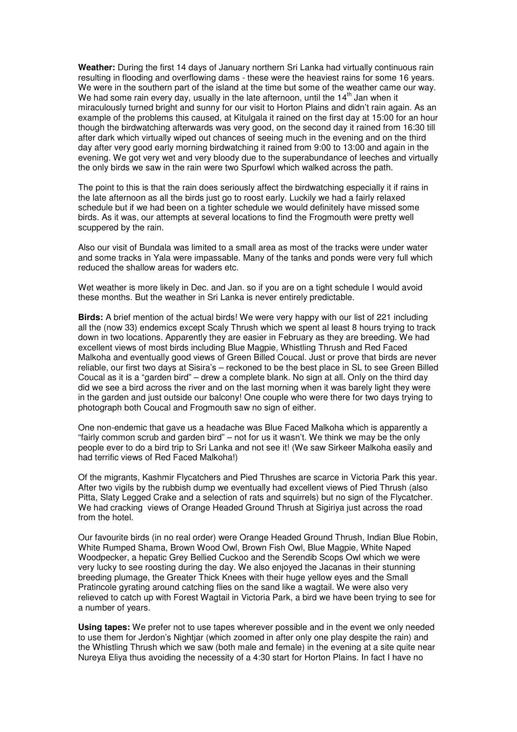**Weather:** During the first 14 days of January northern Sri Lanka had virtually continuous rain resulting in flooding and overflowing dams - these were the heaviest rains for some 16 years. We were in the southern part of the island at the time but some of the weather came our way. We had some rain every day, usually in the late afternoon, until the  $14<sup>th</sup>$  Jan when it miraculously turned bright and sunny for our visit to Horton Plains and didn't rain again. As an example of the problems this caused, at Kitulgala it rained on the first day at 15:00 for an hour though the birdwatching afterwards was very good, on the second day it rained from 16:30 till after dark which virtually wiped out chances of seeing much in the evening and on the third day after very good early morning birdwatching it rained from 9:00 to 13:00 and again in the evening. We got very wet and very bloody due to the superabundance of leeches and virtually the only birds we saw in the rain were two Spurfowl which walked across the path.

The point to this is that the rain does seriously affect the birdwatching especially it if rains in the late afternoon as all the birds just go to roost early. Luckily we had a fairly relaxed schedule but if we had been on a tighter schedule we would definitely have missed some birds. As it was, our attempts at several locations to find the Frogmouth were pretty well scuppered by the rain.

Also our visit of Bundala was limited to a small area as most of the tracks were under water and some tracks in Yala were impassable. Many of the tanks and ponds were very full which reduced the shallow areas for waders etc.

Wet weather is more likely in Dec. and Jan. so if you are on a tight schedule I would avoid these months. But the weather in Sri Lanka is never entirely predictable.

**Birds:** A brief mention of the actual birds! We were very happy with our list of 221 including all the (now 33) endemics except Scaly Thrush which we spent al least 8 hours trying to track down in two locations. Apparently they are easier in February as they are breeding. We had excellent views of most birds including Blue Magpie, Whistling Thrush and Red Faced Malkoha and eventually good views of Green Billed Coucal. Just or prove that birds are never reliable, our first two days at Sisira's – reckoned to be the best place in SL to see Green Billed Coucal as it is a "garden bird" – drew a complete blank. No sign at all. Only on the third day did we see a bird across the river and on the last morning when it was barely light they were in the garden and just outside our balcony! One couple who were there for two days trying to photograph both Coucal and Frogmouth saw no sign of either.

One non-endemic that gave us a headache was Blue Faced Malkoha which is apparently a "fairly common scrub and garden bird" – not for us it wasn't. We think we may be the only people ever to do a bird trip to Sri Lanka and not see it! (We saw Sirkeer Malkoha easily and had terrific views of Red Faced Malkoha!)

Of the migrants, Kashmir Flycatchers and Pied Thrushes are scarce in Victoria Park this year. After two vigils by the rubbish dump we eventually had excellent views of Pied Thrush (also Pitta, Slaty Legged Crake and a selection of rats and squirrels) but no sign of the Flycatcher. We had cracking views of Orange Headed Ground Thrush at Sigiriya just across the road from the hotel.

Our favourite birds (in no real order) were Orange Headed Ground Thrush, Indian Blue Robin, White Rumped Shama, Brown Wood Owl, Brown Fish Owl, Blue Magpie, White Naped Woodpecker, a hepatic Grey Bellied Cuckoo and the Serendib Scops Owl which we were very lucky to see roosting during the day. We also enjoyed the Jacanas in their stunning breeding plumage, the Greater Thick Knees with their huge yellow eyes and the Small Pratincole gyrating around catching flies on the sand like a wagtail. We were also very relieved to catch up with Forest Wagtail in Victoria Park, a bird we have been trying to see for a number of years.

**Using tapes:** We prefer not to use tapes wherever possible and in the event we only needed to use them for Jerdon's Nightjar (which zoomed in after only one play despite the rain) and the Whistling Thrush which we saw (both male and female) in the evening at a site quite near Nureya Eliya thus avoiding the necessity of a 4:30 start for Horton Plains. In fact I have no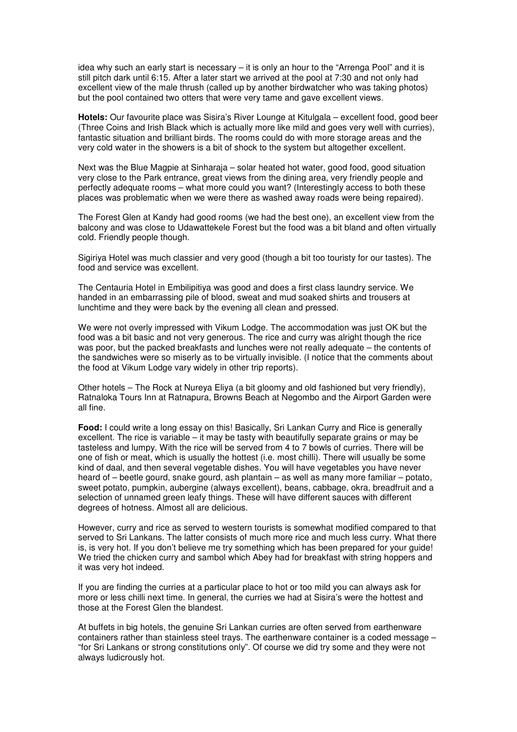idea why such an early start is necessary – it is only an hour to the "Arrenga Pool" and it is still pitch dark until 6:15. After a later start we arrived at the pool at 7:30 and not only had excellent view of the male thrush (called up by another birdwatcher who was taking photos) but the pool contained two otters that were very tame and gave excellent views.

**Hotels:** Our favourite place was Sisira's River Lounge at Kitulgala – excellent food, good beer (Three Coins and Irish Black which is actually more like mild and goes very well with curries), fantastic situation and brilliant birds. The rooms could do with more storage areas and the very cold water in the showers is a bit of shock to the system but altogether excellent.

Next was the Blue Magpie at Sinharaja – solar heated hot water, good food, good situation very close to the Park entrance, great views from the dining area, very friendly people and perfectly adequate rooms – what more could you want? (Interestingly access to both these places was problematic when we were there as washed away roads were being repaired).

The Forest Glen at Kandy had good rooms (we had the best one), an excellent view from the balcony and was close to Udawattekele Forest but the food was a bit bland and often virtually cold. Friendly people though.

Sigiriya Hotel was much classier and very good (though a bit too touristy for our tastes). The food and service was excellent.

The Centauria Hotel in Embilipitiya was good and does a first class laundry service. We handed in an embarrassing pile of blood, sweat and mud soaked shirts and trousers at lunchtime and they were back by the evening all clean and pressed.

We were not overly impressed with Vikum Lodge. The accommodation was just OK but the food was a bit basic and not very generous. The rice and curry was alright though the rice was poor, but the packed breakfasts and lunches were not really adequate – the contents of the sandwiches were so miserly as to be virtually invisible. (I notice that the comments about the food at Vikum Lodge vary widely in other trip reports).

Other hotels – The Rock at Nureya Eliya (a bit gloomy and old fashioned but very friendly), Ratnaloka Tours Inn at Ratnapura, Browns Beach at Negombo and the Airport Garden were all fine.

**Food:** I could write a long essay on this! Basically, Sri Lankan Curry and Rice is generally excellent. The rice is variable – it may be tasty with beautifully separate grains or may be tasteless and lumpy. With the rice will be served from 4 to 7 bowls of curries. There will be one of fish or meat, which is usually the hottest (i.e. most chilli). There will usually be some kind of daal, and then several vegetable dishes. You will have vegetables you have never heard of – beetle gourd, snake gourd, ash plantain – as well as many more familiar – potato, sweet potato, pumpkin, aubergine (always excellent), beans, cabbage, okra, breadfruit and a selection of unnamed green leafy things. These will have different sauces with different degrees of hotness. Almost all are delicious.

However, curry and rice as served to western tourists is somewhat modified compared to that served to Sri Lankans. The latter consists of much more rice and much less curry. What there is, is very hot. If you don't believe me try something which has been prepared for your guide! We tried the chicken curry and sambol which Abey had for breakfast with string hoppers and it was very hot indeed.

If you are finding the curries at a particular place to hot or too mild you can always ask for more or less chilli next time. In general, the curries we had at Sisira's were the hottest and those at the Forest Glen the blandest.

At buffets in big hotels, the genuine Sri Lankan curries are often served from earthenware containers rather than stainless steel trays. The earthenware container is a coded message – "for Sri Lankans or strong constitutions only". Of course we did try some and they were not always ludicrously hot.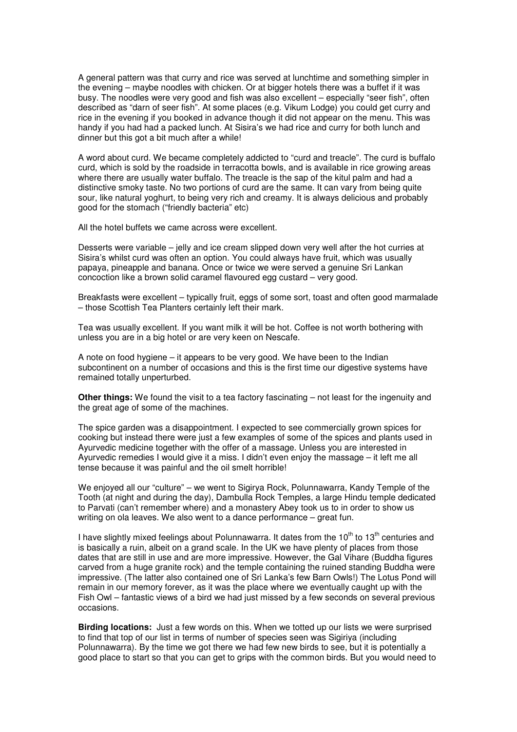A general pattern was that curry and rice was served at lunchtime and something simpler in the evening – maybe noodles with chicken. Or at bigger hotels there was a buffet if it was busy. The noodles were very good and fish was also excellent – especially "seer fish", often described as "darn of seer fish". At some places (e.g. Vikum Lodge) you could get curry and rice in the evening if you booked in advance though it did not appear on the menu. This was handy if you had had a packed lunch. At Sisira's we had rice and curry for both lunch and dinner but this got a bit much after a while!

A word about curd. We became completely addicted to "curd and treacle". The curd is buffalo curd, which is sold by the roadside in terracotta bowls, and is available in rice growing areas where there are usually water buffalo. The treacle is the sap of the kitul palm and had a distinctive smoky taste. No two portions of curd are the same. It can vary from being quite sour, like natural yoghurt, to being very rich and creamy. It is always delicious and probably good for the stomach ("friendly bacteria" etc)

All the hotel buffets we came across were excellent.

Desserts were variable – jelly and ice cream slipped down very well after the hot curries at Sisira's whilst curd was often an option. You could always have fruit, which was usually papaya, pineapple and banana. Once or twice we were served a genuine Sri Lankan concoction like a brown solid caramel flavoured egg custard – very good.

Breakfasts were excellent – typically fruit, eggs of some sort, toast and often good marmalade – those Scottish Tea Planters certainly left their mark.

Tea was usually excellent. If you want milk it will be hot. Coffee is not worth bothering with unless you are in a big hotel or are very keen on Nescafe.

A note on food hygiene – it appears to be very good. We have been to the Indian subcontinent on a number of occasions and this is the first time our digestive systems have remained totally unperturbed.

**Other things:** We found the visit to a tea factory fascinating – not least for the ingenuity and the great age of some of the machines.

The spice garden was a disappointment. I expected to see commercially grown spices for cooking but instead there were just a few examples of some of the spices and plants used in Ayurvedic medicine together with the offer of a massage. Unless you are interested in Ayurvedic remedies I would give it a miss. I didn't even enjoy the massage – it left me all tense because it was painful and the oil smelt horrible!

We enjoyed all our "culture" – we went to Sigirya Rock, Polunnawarra, Kandy Temple of the Tooth (at night and during the day), Dambulla Rock Temples, a large Hindu temple dedicated to Parvati (can't remember where) and a monastery Abey took us to in order to show us writing on ola leaves. We also went to a dance performance – great fun.

I have slightly mixed feelings about Polunnawarra. It dates from the  $10<sup>th</sup>$  to  $13<sup>th</sup>$  centuries and is basically a ruin, albeit on a grand scale. In the UK we have plenty of places from those dates that are still in use and are more impressive. However, the Gal Vihare (Buddha figures carved from a huge granite rock) and the temple containing the ruined standing Buddha were impressive. (The latter also contained one of Sri Lanka's few Barn Owls!) The Lotus Pond will remain in our memory forever, as it was the place where we eventually caught up with the Fish Owl – fantastic views of a bird we had just missed by a few seconds on several previous occasions.

**Birding locations:** Just a few words on this. When we totted up our lists we were surprised to find that top of our list in terms of number of species seen was Sigiriya (including Polunnawarra). By the time we got there we had few new birds to see, but it is potentially a good place to start so that you can get to grips with the common birds. But you would need to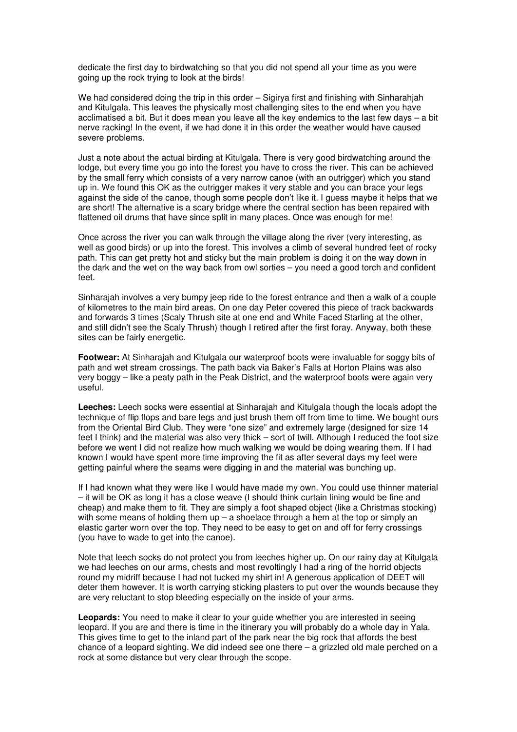dedicate the first day to birdwatching so that you did not spend all your time as you were going up the rock trying to look at the birds!

We had considered doing the trip in this order – Sigirya first and finishing with Sinharahiah and Kitulgala. This leaves the physically most challenging sites to the end when you have acclimatised a bit. But it does mean you leave all the key endemics to the last few days – a bit nerve racking! In the event, if we had done it in this order the weather would have caused severe problems.

Just a note about the actual birding at Kitulgala. There is very good birdwatching around the lodge, but every time you go into the forest you have to cross the river. This can be achieved by the small ferry which consists of a very narrow canoe (with an outrigger) which you stand up in. We found this OK as the outrigger makes it very stable and you can brace your legs against the side of the canoe, though some people don't like it. I guess maybe it helps that we are short! The alternative is a scary bridge where the central section has been repaired with flattened oil drums that have since split in many places. Once was enough for me!

Once across the river you can walk through the village along the river (very interesting, as well as good birds) or up into the forest. This involves a climb of several hundred feet of rocky path. This can get pretty hot and sticky but the main problem is doing it on the way down in the dark and the wet on the way back from owl sorties – you need a good torch and confident feet.

Sinharajah involves a very bumpy jeep ride to the forest entrance and then a walk of a couple of kilometres to the main bird areas. On one day Peter covered this piece of track backwards and forwards 3 times (Scaly Thrush site at one end and White Faced Starling at the other, and still didn't see the Scaly Thrush) though I retired after the first foray. Anyway, both these sites can be fairly energetic.

**Footwear:** At Sinharajah and Kitulgala our waterproof boots were invaluable for soggy bits of path and wet stream crossings. The path back via Baker's Falls at Horton Plains was also very boggy – like a peaty path in the Peak District, and the waterproof boots were again very useful.

**Leeches:** Leech socks were essential at Sinharajah and Kitulgala though the locals adopt the technique of flip flops and bare legs and just brush them off from time to time. We bought ours from the Oriental Bird Club. They were "one size" and extremely large (designed for size 14 feet I think) and the material was also very thick – sort of twill. Although I reduced the foot size before we went I did not realize how much walking we would be doing wearing them. If I had known I would have spent more time improving the fit as after several days my feet were getting painful where the seams were digging in and the material was bunching up.

If I had known what they were like I would have made my own. You could use thinner material – it will be OK as long it has a close weave (I should think curtain lining would be fine and cheap) and make them to fit. They are simply a foot shaped object (like a Christmas stocking) with some means of holding them  $up - a$  shoelace through a hem at the top or simply an elastic garter worn over the top. They need to be easy to get on and off for ferry crossings (you have to wade to get into the canoe).

Note that leech socks do not protect you from leeches higher up. On our rainy day at Kitulgala we had leeches on our arms, chests and most revoltingly I had a ring of the horrid objects round my midriff because I had not tucked my shirt in! A generous application of DEET will deter them however. It is worth carrying sticking plasters to put over the wounds because they are very reluctant to stop bleeding especially on the inside of your arms.

**Leopards:** You need to make it clear to your guide whether you are interested in seeing leopard. If you are and there is time in the itinerary you will probably do a whole day in Yala. This gives time to get to the inland part of the park near the big rock that affords the best chance of a leopard sighting. We did indeed see one there – a grizzled old male perched on a rock at some distance but very clear through the scope.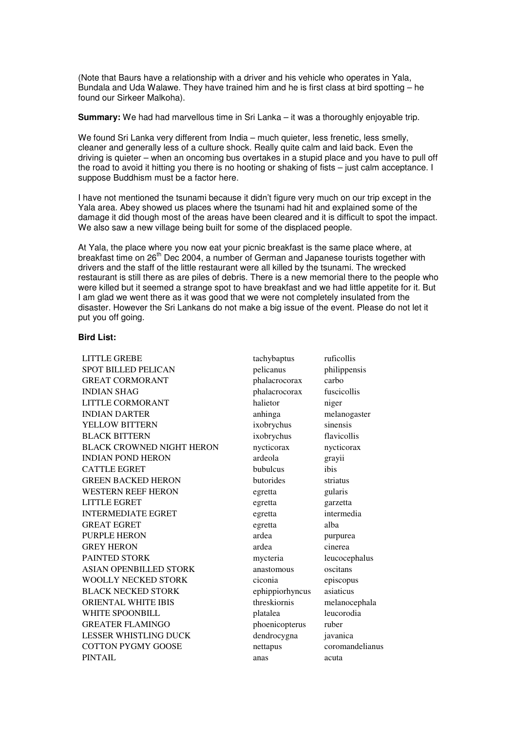(Note that Baurs have a relationship with a driver and his vehicle who operates in Yala, Bundala and Uda Walawe. They have trained him and he is first class at bird spotting – he found our Sirkeer Malkoha).

**Summary:** We had had marvellous time in Sri Lanka – it was a thoroughly enjoyable trip.

We found Sri Lanka very different from India – much quieter, less frenetic, less smelly, cleaner and generally less of a culture shock. Really quite calm and laid back. Even the driving is quieter – when an oncoming bus overtakes in a stupid place and you have to pull off the road to avoid it hitting you there is no hooting or shaking of fists – just calm acceptance. I suppose Buddhism must be a factor here.

I have not mentioned the tsunami because it didn't figure very much on our trip except in the Yala area. Abey showed us places where the tsunami had hit and explained some of the damage it did though most of the areas have been cleared and it is difficult to spot the impact. We also saw a new village being built for some of the displaced people.

At Yala, the place where you now eat your picnic breakfast is the same place where, at breakfast time on 26<sup>th</sup> Dec 2004, a number of German and Japanese tourists together with drivers and the staff of the little restaurant were all killed by the tsunami. The wrecked restaurant is still there as are piles of debris. There is a new memorial there to the people who were killed but it seemed a strange spot to have breakfast and we had little appetite for it. But I am glad we went there as it was good that we were not completely insulated from the disaster. However the Sri Lankans do not make a big issue of the event. Please do not let it put you off going.

## **Bird List:**

LITTLE GREBE tachybaptus ruficollis SPOT BILLED PELICAN pelicanus philippensis GREAT CORMORANT phalacrocorax carbo INDIAN SHAG phalacrocorax fuscicollis LITTLE CORMORANT halietor halietor niger INDIAN DARTER anhinga melanogaster YELLOW BITTERN ixobrychus sinensis BLACK BITTERN ixobrychus flavicollis BLACK CROWNED NIGHT HERON nycticorax nycticorax INDIAN POND HERON ardeola grayii CATTLE EGRET bubulcus bubulcus ibis GREEN BACKED HERON butorides striatus WESTERN REEF HERON egretta gularis LITTLE EGRET egretta garzetta INTERMEDIATE EGRET egretta intermedia GREAT EGRET egretta alba PURPLE HERON ardea purpurea GREY HERON ardea cinerea PAINTED STORK mycteria leucocephalus ASIAN OPENBILLED STORK anastomous oscitans WOOLLY NECKED STORK ciconia episcopus BLACK NECKED STORK ephippiorhyncus asiaticus ORIENTAL WHITE IBIS threskiornis melanocephala WHITE SPOONBILL platalea leucorodia GREATER FLAMINGO phoenicopterus ruber LESSER WHISTLING DUCK dendrocygna javanica COTTON PYGMY GOOSE nettapus coromandelianus PINTAIL anas acuta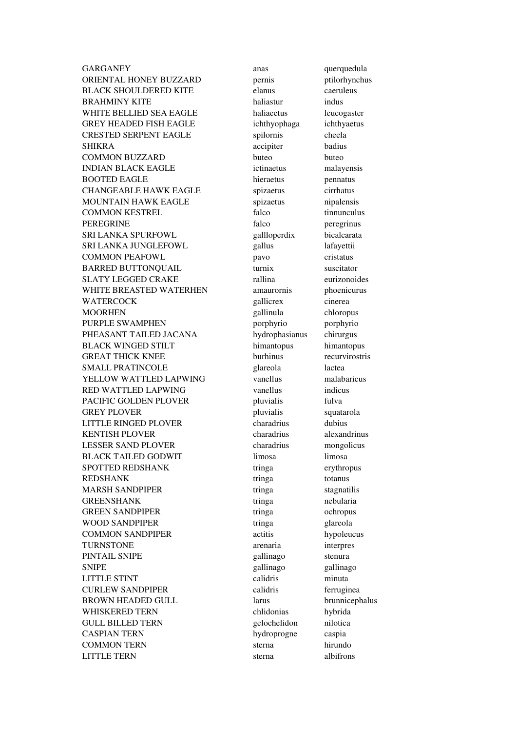GARGANEY anas querquedula ORIENTAL HONEY BUZZARD pernis ptilorhynchus BLACK SHOULDERED KITE elanus caeruleus BRAHMINY KITE haliastur indus WHITE BELLIED SEA EAGLE haliaeetus leucogaster GREY HEADED FISH EAGLE ichthyophaga ichthyaetus CRESTED SERPENT EAGLE spilornis cheela SHIKRA accipiter badius COMMON BUZZARD buteo buteo INDIAN BLACK EAGLE ictinaetus malayensis BOOTED EAGLE hieraetus pennatus CHANGEABLE HAWK EAGLE spizaetus cirrhatus MOUNTAIN HAWK EAGLE spizaetus nipalensis COMMON KESTREL falco tinnunculus PEREGRINE falco peregrinus SRI LANKA SPURFOWL gallloperdix bicalcarata SRI LANKA JUNGLEFOWL gallus lafayettii COMMON PEAFOWL pavo pavo cristatus BARRED BUTTONQUAIL turnix suscitator SLATY LEGGED CRAKE rallina eurizonoides WHITE BREASTED WATERHEN amaurornis phoenicurus WATERCOCK gallicrex cinerea MOORHEN gallinula chloropus PURPLE SWAMPHEN porphyrio porphyrio porphyrio PHEASANT TAILED JACANA hydrophasianus chirurgus BLACK WINGED STILT himantopus himantopus GREAT THICK KNEE burhinus recurvirostris SMALL PRATINCOLE glareola lactea YELLOW WATTLED LAPWING vanellus malabaricus RED WATTLED LAPWING vanellus indicus PACIFIC GOLDEN PLOVER pluvialis fulva GREY PLOVER pluvialis squatarola LITTLE RINGED PLOVER charadrius dubius KENTISH PLOVER charadrius alexandrinus LESSER SAND PLOVER charadrius mongolicus BLACK TAILED GODWIT limosa limosa SPOTTED REDSHANK tringa erythropus REDSHANK tringa totanus MARSH SANDPIPER tringa stagnatilis GREENSHANK tringa nebularia GREEN SANDPIPER tringa ochropus WOOD SANDPIPER tringa glareola COMMON SANDPIPER actitis hypoleucus TURNSTONE arenaria interpres PINTAIL SNIPE gallinago stenura SNIPE gallinago gallinago gallinago LITTLE STINT CALIDENT CALIDED CALIDED CALIDED MINUTE CURLEW SANDPIPER calidris ferruginea BROWN HEADED GULL larus brunnicephalus WHISKERED TERN chlidonias hybrida GULL BILLED TERN gelochelidon nilotica CASPIAN TERN hydroprogne caspia COMMON TERN sterna hirundo LITTLE TERN sterna albifrons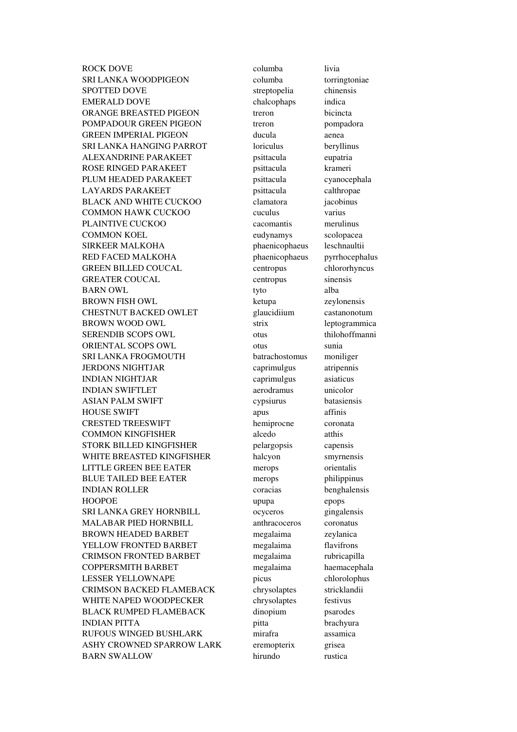ROCK DOVE columba livia SRI LANKA WOODPIGEON columba torringtoniae SPOTTED DOVE streptopelia chinensis EMERALD DOVE chalcophaps indica ORANGE BREASTED PIGEON treron bicincta POMPADOUR GREEN PIGEON treron pompadora GREEN IMPERIAL PIGEON ducula aenea SRI LANKA HANGING PARROT loriculus beryllinus ALEXANDRINE PARAKEET psittacula eupatria ROSE RINGED PARAKEET psittacula krameri PLUM HEADED PARAKEET psittacula cyanocephala LAYARDS PARAKEET psittacula calthropae BLACK AND WHITE CUCKOO clamatora jacobinus COMMON HAWK CUCKOO cuculus varius PLAINTIVE CUCKOO cacomantis merulinus COMMON KOEL eudynamys scolopacea SIRKEER MALKOHA phaenicophaeus leschnaultii RED FACED MALKOHA phaenicophaeus pyrrhocephalus GREEN BILLED COUCAL centropus chlororhyncus GREATER COUCAL centropus sinensis BARN OWL tyto alba BROWN FISH OWL ketupa zeylonensis CHESTNUT BACKED OWLET glaucidiium castanonotum BROWN WOOD OWL strix leptogrammica SERENDIB SCOPS OWL otus thilohoffmanni ORIENTAL SCOPS OWL otus sunia SRI LANKA FROGMOUTH batrachostomus moniliger JERDONS NIGHTJAR caprimulgus atripennis INDIAN NIGHTJAR caprimulgus asiaticus INDIAN SWIFTLET aerodramus unicolor ASIAN PALM SWIFT cypsiurus batasiensis HOUSE SWIFT apus a pus affinis CRESTED TREESWIFT hemiprocne coronata COMMON KINGFISHER alcedo atthis STORK BILLED KINGFISHER pelargopsis capensis WHITE BREASTED KINGFISHER halcyon smyrnensis LITTLE GREEN BEE EATER merops orientalis BLUE TAILED BEE EATER merops philippinus INDIAN ROLLER coracias benghalensis HOOPOE upupa epops SRI LANKA GREY HORNBILL ocyceros gingalensis MALABAR PIED HORNBILL anthracoceros coronatus BROWN HEADED BARBET megalaima zeylanica YELLOW FRONTED BARBET megalaima flavifrons CRIMSON FRONTED BARBET megalaima rubricapilla COPPERSMITH BARBET megalaima haemacephala LESSER YELLOWNAPE picus chlorolophus CRIMSON BACKED FLAMEBACK chrysolaptes stricklandii WHITE NAPED WOODPECKER chrysolaptes festivus BLACK RUMPED FLAMEBACK dinopium psarodes INDIAN PITTA pitta brachyura RUFOUS WINGED BUSHLARK mirafra assamica ASHY CROWNED SPARROW LARK eremopterix grisea BARN SWALLOW hirundo rustica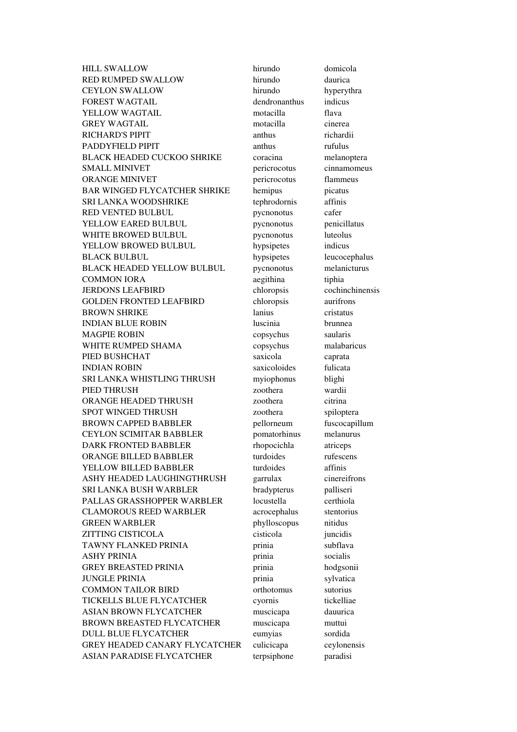HILL SWALLOW hirundo domicola RED RUMPED SWALLOW hirundo daurica CEYLON SWALLOW hirundo hyperythra FOREST WAGTAIL dendronanthus indicus YELLOW WAGTAIL motacilla flava GREY WAGTAIL motacilla cinerea RICHARD'S PIPIT anthus anthus richardii PADDYFIELD PIPIT anthus anthus rufulus BLACK HEADED CUCKOO SHRIKE coracina melanoptera SMALL MINIVET pericrocotus cinnamomeus ORANGE MINIVET pericrocotus flammeus BAR WINGED FLYCATCHER SHRIKE hemipus picatus SRI LANKA WOODSHRIKE tephrodornis affinis RED VENTED BULBUL pycnonotus cafer YELLOW EARED BULBUL pycnonotus penicillatus WHITE BROWED BULBUL pycnonotus luteolus YELLOW BROWED BULBUL hypsipetes indicus BLACK BULBUL hypsipetes leucocephalus BLACK HEADED YELLOW BULBUL pycnonotus melanicturus COMMON IORA aegithina tiphia JERDONS LEAFBIRD chloropsis cochinchinensis GOLDEN FRONTED LEAFBIRD chloropsis aurifrons BROWN SHRIKE lanius cristatus INDIAN BLUE ROBIN luscinia brunnea MAGPIE ROBIN copsychus saularis WHITE RUMPED SHAMA copsychus malabaricus PIED BUSHCHAT saxicola caprata INDIAN ROBIN saxicoloides fulicata SRI LANKA WHISTLING THRUSH myiophonus blighi PIED THRUSH zoothera wardii ORANGE HEADED THRUSH zoothera citrina SPOT WINGED THRUSH zoothera spiloptera BROWN CAPPED BABBLER pellorneum fuscocapillum CEYLON SCIMITAR BABBLER pomatorhinus melanurus DARK FRONTED BABBLER rhopocichla atriceps ORANGE BILLED BABBLER turdoides rufescens YELLOW BILLED BABBLER turdoides affinis ASHY HEADED LAUGHINGTHRUSH garrulax cinereifrons SRI LANKA BUSH WARBLER bradypterus palliseri PALLAS GRASSHOPPER WARBLER locustella certhiola CLAMOROUS REED WARBLER acrocephalus stentorius GREEN WARBLER phylloscopus nitidus ZITTING CISTICOLA cisticola juncidis TAWNY FLANKED PRINIA prinia subflava ASHY PRINIA prinia socialis GREY BREASTED PRINIA prinia hodgsonii JUNGLE PRINIA prinia sylvatica COMMON TAILOR BIRD orthotomus sutorius TICKELLS BLUE FLYCATCHER cyornis tickelliae ASIAN BROWN FLYCATCHER muscicapa dauurica BROWN BREASTED FLYCATCHER muscicapa muttui DULL BLUE FLYCATCHER eumyias sordida GREY HEADED CANARY FLYCATCHER culicicapa ceylonensis ASIAN PARADISE FLYCATCHER terpsiphone paradisi